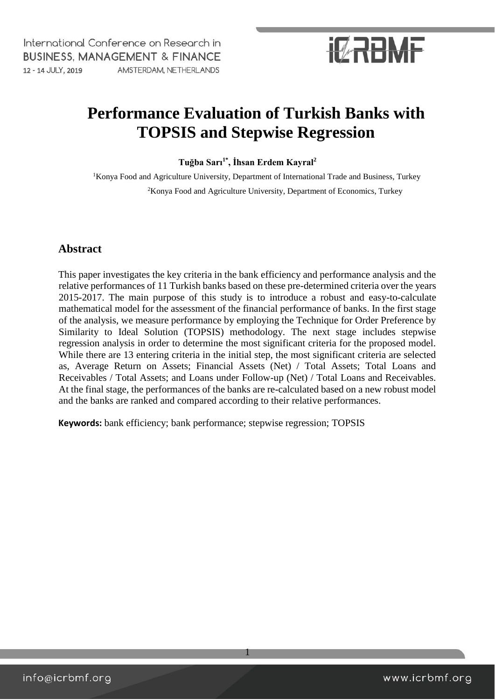

### **Performance Evaluation of Turkish Banks with TOPSIS and Stepwise Regression**

**Tuğba Sarı1\*, İhsan Erdem Kayral<sup>2</sup>**

<sup>1</sup>Konya Food and Agriculture University, Department of International Trade and Business, Turkey <sup>2</sup>Konya Food and Agriculture University, Department of Economics, Turkey

#### **Abstract**

This paper investigates the key criteria in the bank efficiency and performance analysis and the relative performances of 11 Turkish banks based on these pre-determined criteria over the years 2015-2017. The main purpose of this study is to introduce a robust and easy-to-calculate mathematical model for the assessment of the financial performance of banks. In the first stage of the analysis, we measure performance by employing the Technique for Order Preference by Similarity to Ideal Solution (TOPSIS) methodology. The next stage includes stepwise regression analysis in order to determine the most significant criteria for the proposed model. While there are 13 entering criteria in the initial step, the most significant criteria are selected as, Average Return on Assets; Financial Assets (Net) / Total Assets; Total Loans and Receivables / Total Assets; and Loans under Follow-up (Net) / Total Loans and Receivables. At the final stage, the performances of the banks are re-calculated based on a new robust model and the banks are ranked and compared according to their relative performances.

1

**Keywords:** bank efficiency; bank performance; stepwise regression; TOPSIS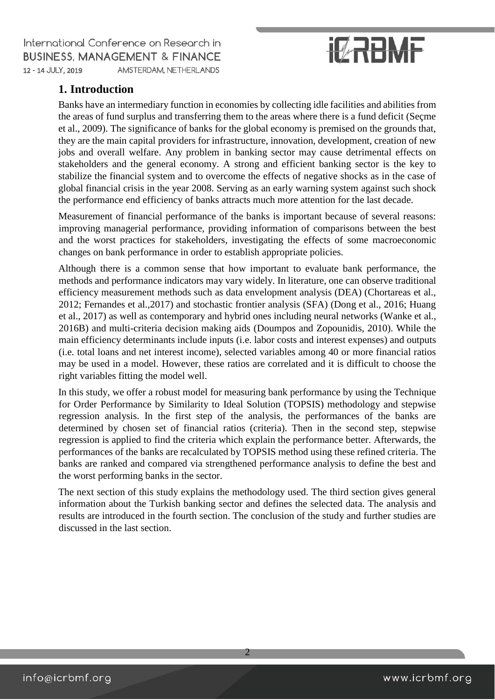# **IZRAME**

### **1. Introduction**

Banks have an intermediary function in economies by collecting idle facilities and abilities from the areas of fund surplus and transferring them to the areas where there is a fund deficit (Seçme et al., 2009). The significance of banks for the global economy is premised on the grounds that, they are the main capital providers for infrastructure, innovation, development, creation of new jobs and overall welfare. Any problem in banking sector may cause detrimental effects on stakeholders and the general economy. A strong and efficient banking sector is the key to stabilize the financial system and to overcome the effects of negative shocks as in the case of global financial crisis in the year 2008. Serving as an early warning system against such shock the performance end efficiency of banks attracts much more attention for the last decade.

Measurement of financial performance of the banks is important because of several reasons: improving managerial performance, providing information of comparisons between the best and the worst practices for stakeholders, investigating the effects of some macroeconomic changes on bank performance in order to establish appropriate policies.

Although there is a common sense that how important to evaluate bank performance, the methods and performance indicators may vary widely. In literature, one can observe traditional efficiency measurement methods such as data envelopment analysis (DEA) (Chortareas et al., 2012; Fernandes et al.,2017) and stochastic frontier analysis (SFA) (Dong et al., 2016; Huang et al., 2017) as well as contemporary and hybrid ones including neural networks (Wanke et al., 2016B) and multi-criteria decision making aids (Doumpos and Zopounidis, 2010). While the main efficiency determinants include inputs (i.e. labor costs and interest expenses) and outputs (i.e. total loans and net interest income), selected variables among 40 or more financial ratios may be used in a model. However, these ratios are correlated and it is difficult to choose the right variables fitting the model well.

In this study, we offer a robust model for measuring bank performance by using the Technique for Order Performance by Similarity to Ideal Solution (TOPSIS) methodology and stepwise regression analysis. In the first step of the analysis, the performances of the banks are determined by chosen set of financial ratios (criteria). Then in the second step, stepwise regression is applied to find the criteria which explain the performance better. Afterwards, the performances of the banks are recalculated by TOPSIS method using these refined criteria. The banks are ranked and compared via strengthened performance analysis to define the best and the worst performing banks in the sector.

The next section of this study explains the methodology used. The third section gives general information about the Turkish banking sector and defines the selected data. The analysis and results are introduced in the fourth section. The conclusion of the study and further studies are discussed in the last section.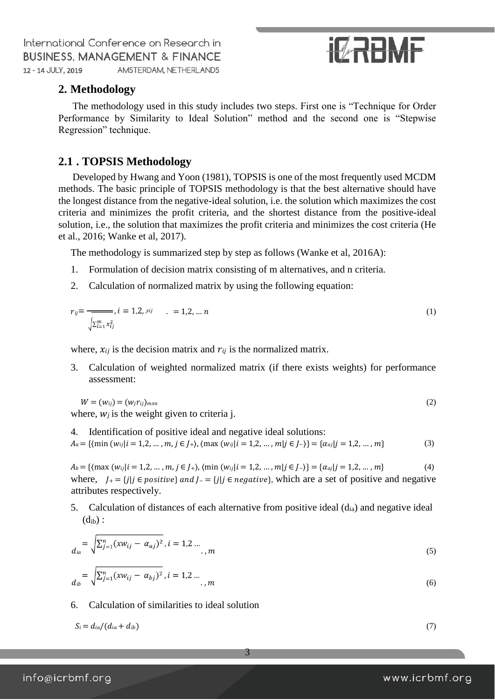# **IT RABME**

#### **2. Methodology**

The methodology used in this study includes two steps. First one is "Technique for Order Performance by Similarity to Ideal Solution" method and the second one is "Stepwise Regression" technique.

#### **2.1 . TOPSIS Methodology**

Developed by Hwang and Yoon (1981), TOPSIS is one of the most frequently used MCDM methods. The basic principle of TOPSIS methodology is that the best alternative should have the longest distance from the negative-ideal solution, i.e. the solution which maximizes the cost criteria and minimizes the profit criteria, and the shortest distance from the positive-ideal solution, i.e., the solution that maximizes the profit criteria and minimizes the cost criteria (He et al., 2016; Wanke et al, 2017).

The methodology is summarized step by step as follows (Wanke et al, 2016A):

- 1. Formulation of decision matrix consisting of m alternatives, and n criteria.
- 2. Calculation of normalized matrix by using the following equation:

$$
r_{ij} = \frac{1}{\sqrt{\sum_{i=1}^{m} x_{ij}^2}}, i = 1, 2, x_{ij} \qquad 1, 2, \dots, n
$$
 (1)

where,  $x_{ij}$  is the decision matrix and  $r_{ij}$  is the normalized matrix.

3. Calculation of weighted normalized matrix (if there exists weights) for performance assessment:

$$
W = (w_{ij}) = (w_j r_{ij})_{m \times n}
$$
  
(2)  
where *w<sub>i</sub>* is the weight given to criteria i

where,  $w_j$  is the weight given to criteria j.

4. Identification of positive ideal and negative ideal solutions:  
\n
$$
A_a = \{ \langle \min(w_{ij} | i = 1, 2, ..., m, j \in J_+ \rangle, \langle \max(w_{ij} | i = 1, 2, ..., m \rangle \in J_- \rangle \} = \{ \alpha_{aj} | j = 1, 2, ..., m \}
$$
\n(3)

 $A_b = \{(\max(w_{ij} | i = 1, 2, ..., m, j \in J_+), (\min(w_{ij} | i = 1, 2, ..., m | j \in J_-)\} = \{\alpha_{aj} | j = 1, 2, ..., m\}$  (4) where,  $J_{+} = \{j | j \in positive\}$  and  $J_{-} = \{j | j \in negative\}$ , which are a set of positive and negative attributes respectively.

5. Calculation of distances of each alternative from positive ideal  $(d_{ia})$  and negative ideal  $(d_{ib})$  :

$$
d_{ia} = \sqrt{\sum_{j=1}^{n} (xw_{ij} - \alpha_{aj})^2}, i = 1, 2 \dots
$$

$$
d_{ib} = \sqrt{\sum_{j=1}^{n} (xw_{ij} - \alpha_{bj})^2}, i = 1, 2 \dots, m
$$
 (6)

6. Calculation of similarities to ideal solution

$$
S_i = d_{ia}/(d_{ia} + d_{ib})
$$
\n<sup>(7)</sup>

3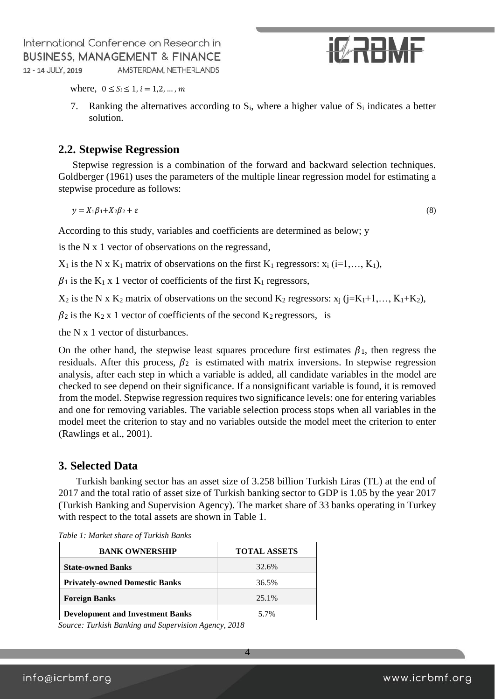

where,  $0 \le S_i \le 1$ ,  $i = 1, 2, ..., m$ 

7. Ranking the alternatives according to  $S_i$ , where a higher value of  $S_i$  indicates a better solution.

#### **2.2. Stepwise Regression**

Stepwise regression is a combination of the forward and backward selection techniques. Goldberger (1961) uses the parameters of the multiple linear regression model for estimating a stepwise procedure as follows:

$$
y = X_1 \beta_1 + X_2 \beta_2 + \varepsilon \tag{8}
$$

According to this study, variables and coefficients are determined as below; y

is the N x 1 vector of observations on the regressand,

 $X_1$  is the N x K<sub>1</sub> matrix of observations on the first K<sub>1</sub> regressors:  $x_i$  (i=1,..., K<sub>1</sub>),

 $\beta_1$  is the K<sub>1</sub> x 1 vector of coefficients of the first K<sub>1</sub> regressors,

 $X_2$  is the N x K<sub>2</sub> matrix of observations on the second K<sub>2</sub> regressors:  $x_i$  (j=K<sub>1</sub>+1,…, K<sub>1</sub>+K<sub>2</sub>),

 $\beta$ 2 is the K<sub>2</sub> x 1 vector of coefficients of the second K<sub>2</sub> regressors, is

the N x 1 vector of disturbances.

On the other hand, the stepwise least squares procedure first estimates  $\beta_1$ , then regress the residuals. After this process,  $\beta_2$  is estimated with matrix inversions. In stepwise regression analysis, after each step in which a variable is added, all candidate variables in the model are checked to see depend on their significance. If a nonsignificant variable is found, it is removed from the model. Stepwise regression requires two significance levels: one for entering variables and one for removing variables. The variable selection process stops when all variables in the model meet the criterion to stay and no variables outside the model meet the criterion to enter (Rawlings et al., 2001).

#### **3. Selected Data**

Turkish banking sector has an asset size of 3.258 billion Turkish Liras (TL) at the end of 2017 and the total ratio of asset size of Turkish banking sector to GDP is 1.05 by the year 2017 (Turkish Banking and Supervision Agency). The market share of 33 banks operating in Turkey with respect to the total assets are shown in Table 1.

4

| <b>BANK OWNERSHIP</b>                   | <b>TOTAL ASSETS</b> |
|-----------------------------------------|---------------------|
| <b>State-owned Banks</b>                | 32.6%               |
| <b>Privately-owned Domestic Banks</b>   | 36.5%               |
| <b>Foreign Banks</b>                    | 25.1%               |
| <b>Development and Investment Banks</b> | 5.7%                |

*Table 1: Market share of Turkish Banks* 

*Source: Turkish Banking and Supervision Agency, 2018*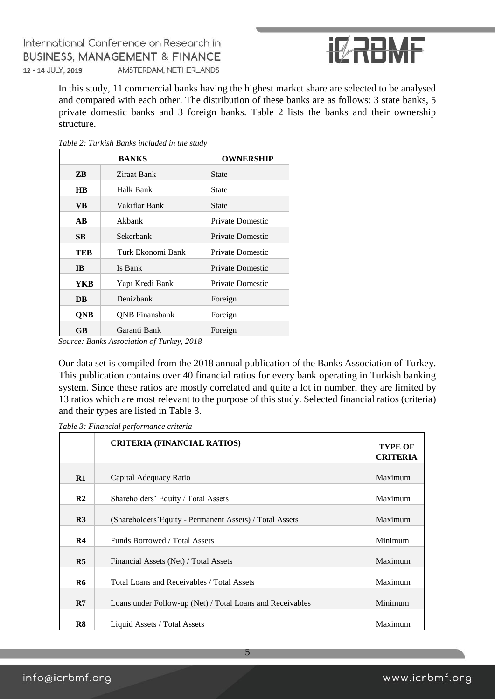

In this study, 11 commercial banks having the highest market share are selected to be analysed and compared with each other. The distribution of these banks are as follows: 3 state banks, 5 private domestic banks and 3 foreign banks. Table 2 lists the banks and their ownership structure.

| Table 2: Turkish Banks included in the study |  |  |  |  |  |
|----------------------------------------------|--|--|--|--|--|
|----------------------------------------------|--|--|--|--|--|

|                                   | <b>BANKS</b>          | OWNERSHIP        |
|-----------------------------------|-----------------------|------------------|
| ZВ                                | Ziraat Bank           | <b>State</b>     |
| <b>HB</b>                         | Halk Bank             | <b>State</b>     |
| <b>VB</b>                         | Vakıflar Bank         | State            |
| $\overline{\mathbf{A}}\mathbf{B}$ | Akhank                | Private Domestic |
| SB.                               | Sekerbank             | Private Domestic |
| TEB                               | Turk Ekonomi Bank     | Private Domestic |
| <b>IB</b>                         | Is Bank               | Private Domestic |
| YKB                               | Yapı Kredi Bank       | Private Domestic |
| DB                                | Denizbank             | Foreign          |
| <b>QNB</b>                        | <b>ONB</b> Finansbank | Foreign          |
| <b>GB</b>                         | Garanti Bank          | Foreign          |

*Source: Banks Association of Turkey, 2018* 

Our data set is compiled from the 2018 annual publication of the Banks Association of Turkey. This publication contains over 40 financial ratios for every bank operating in Turkish banking system. Since these ratios are mostly correlated and quite a lot in number, they are limited by 13 ratios which are most relevant to the purpose of this study. Selected financial ratios (criteria) and their types are listed in Table 3.

|                | <b>CRITERIA (FINANCIAL RATIOS)</b>                        | <b>TYPE OF</b><br><b>CRITERIA</b> |
|----------------|-----------------------------------------------------------|-----------------------------------|
| $\mathbf{R}1$  | Capital Adequacy Ratio                                    | Maximum                           |
| R <sub>2</sub> | Shareholders' Equity / Total Assets                       | Maximum                           |
| R <sub>3</sub> | (Shareholders' Equity - Permanent Assets) / Total Assets  | Maximum                           |
| R <sub>4</sub> | Funds Borrowed / Total Assets                             | Minimum                           |
| R <sub>5</sub> | Financial Assets (Net) / Total Assets                     | Maximum                           |
| R6             | Total Loans and Receivables / Total Assets                | Maximum                           |
| R7             | Loans under Follow-up (Net) / Total Loans and Receivables | Minimum                           |
| R8             | Liquid Assets / Total Assets                              | Maximum                           |

5

*Table 3: Financial performance criteria*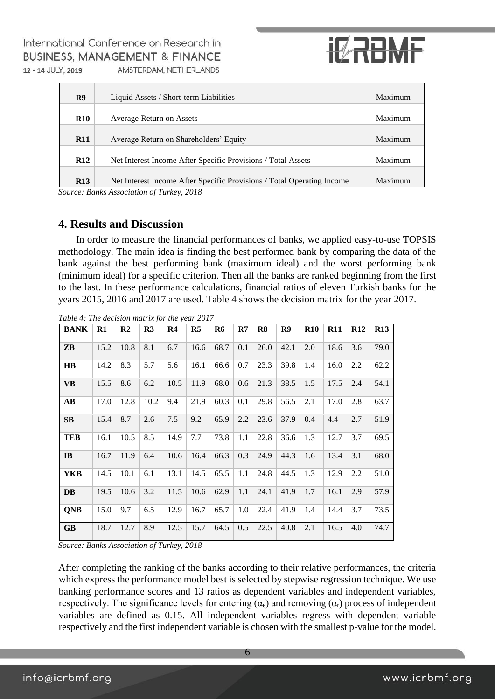

| R <sub>9</sub> | Liquid Assets / Short-term Liabilities                                 | Maximum |
|----------------|------------------------------------------------------------------------|---------|
| <b>R10</b>     | Average Return on Assets                                               | Maximum |
| <b>R11</b>     | Average Return on Shareholders' Equity                                 | Maximum |
| <b>R12</b>     | Net Interest Income After Specific Provisions / Total Assets           | Maximum |
| <b>R13</b>     | Net Interest Income After Specific Provisions / Total Operating Income | Maximum |

*Source: Banks Association of Turkey, 2018* 

#### **4. Results and Discussion**

In order to measure the financial performances of banks, we applied easy-to-use TOPSIS methodology. The main idea is finding the best performed bank by comparing the data of the bank against the best performing bank (maximum ideal) and the worst performing bank (minimum ideal) for a specific criterion. Then all the banks are ranked beginning from the first to the last. In these performance calculations, financial ratios of eleven Turkish banks for the years 2015, 2016 and 2017 are used. Table 4 shows the decision matrix for the year 2017.

| <b>BANK</b>            | R1   | R <sub>2</sub> | R <sub>3</sub> | R <sub>4</sub> | R <sub>5</sub> | R6   | $\mathbf{R}$ | R <sub>8</sub> | R9   | <b>R10</b> | <b>R11</b> | <b>R12</b> | <b>R13</b> |
|------------------------|------|----------------|----------------|----------------|----------------|------|--------------|----------------|------|------------|------------|------------|------------|
| ZB                     | 15.2 | 10.8           | 8.1            | 6.7            | 16.6           | 68.7 | 0.1          | 26.0           | 42.1 | 2.0        | 18.6       | 3.6        | 79.0       |
| $\overline{H}$         | 14.2 | 8.3            | 5.7            | 5.6            | 16.1           | 66.6 | 0.7          | 23.3           | 39.8 | 1.4        | 16.0       | 2.2        | 62.2       |
| <b>VB</b>              | 15.5 | 8.6            | 6.2            | 10.5           | 11.9           | 68.0 | 0.6          | 21.3           | 38.5 | 1.5        | 17.5       | 2.4        | 54.1       |
| $\mathbf{A}\mathbf{B}$ | 17.0 | 12.8           | 10.2           | 9.4            | 21.9           | 60.3 | 0.1          | 29.8           | 56.5 | 2.1        | 17.0       | 2.8        | 63.7       |
| SB                     | 15.4 | 8.7            | 2.6            | 7.5            | 9.2            | 65.9 | 2.2          | 23.6           | 37.9 | 0.4        | 4.4        | 2.7        | 51.9       |
| <b>TEB</b>             | 16.1 | 10.5           | 8.5            | 14.9           | 7.7            | 73.8 | 1.1          | 22.8           | 36.6 | 1.3        | 12.7       | 3.7        | 69.5       |
| IB                     | 16.7 | 11.9           | 6.4            | 10.6           | 16.4           | 66.3 | 0.3          | 24.9           | 44.3 | 1.6        | 13.4       | 3.1        | 68.0       |
| YKB                    | 14.5 | 10.1           | 6.1            | 13.1           | 14.5           | 65.5 | 1.1          | 24.8           | 44.5 | 1.3        | 12.9       | 2.2        | 51.0       |
| DB                     | 19.5 | 10.6           | 3.2            | 11.5           | 10.6           | 62.9 | 1.1          | 24.1           | 41.9 | 1.7        | 16.1       | 2.9        | 57.9       |
| <b>QNB</b>             | 15.0 | 9.7            | 6.5            | 12.9           | 16.7           | 65.7 | 1.0          | 22.4           | 41.9 | 1.4        | 14.4       | 3.7        | 73.5       |
| <b>GB</b>              | 18.7 | 12.7           | 8.9            | 12.5           | 15.7           | 64.5 | 0.5          | 22.5           | 40.8 | 2.1        | 16.5       | 4.0        | 74.7       |

*Table 4: The decision matrix for the year 2017* 

*Source: Banks Association of Turkey, 2018* 

After completing the ranking of the banks according to their relative performances, the criteria which express the performance model best is selected by stepwise regression technique. We use banking performance scores and 13 ratios as dependent variables and independent variables, respectively. The significance levels for entering  $(\alpha_e)$  and removing  $(\alpha_r)$  process of independent variables are defined as 0.15. All independent variables regress with dependent variable respectively and the first independent variable is chosen with the smallest p-value for the model.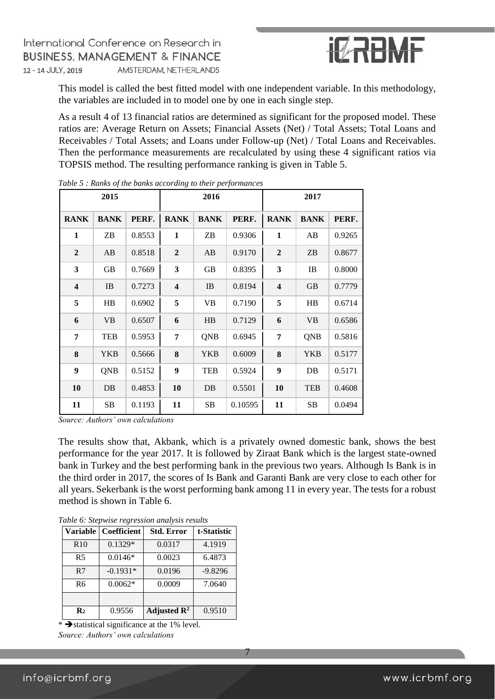

This model is called the best fitted model with one independent variable. In this methodology, the variables are included in to model one by one in each single step.

As a result 4 of 13 financial ratios are determined as significant for the proposed model. These ratios are: Average Return on Assets; Financial Assets (Net) / Total Assets; Total Loans and Receivables / Total Assets; and Loans under Follow-up (Net) / Total Loans and Receivables. Then the performance measurements are recalculated by using these 4 significant ratios via TOPSIS method. The resulting performance ranking is given in Table 5.

|                         | 2015        |        |                         | 2016        |         |                         | 2017        |        |
|-------------------------|-------------|--------|-------------------------|-------------|---------|-------------------------|-------------|--------|
| <b>RANK</b>             | <b>BANK</b> | PERF.  | <b>RANK</b>             | <b>BANK</b> | PERF.   | <b>RANK</b>             | <b>BANK</b> | PERF.  |
| 1                       | ZB          | 0.8553 | $\mathbf{1}$            | ZB          | 0.9306  | $\mathbf{1}$            | AB          | 0.9265 |
| $\mathbf{2}$            | AB          | 0.8518 | $\boldsymbol{2}$        | AB          | 0.9170  | $\boldsymbol{2}$        | ZB          | 0.8677 |
| 3                       | GB          | 0.7669 | 3                       | GB          | 0.8395  | $\mathbf{3}$            | IB          | 0.8000 |
| $\overline{\mathbf{4}}$ | IB          | 0.7273 | $\overline{\mathbf{4}}$ | IB          | 0.8194  | $\overline{\mathbf{4}}$ | <b>GB</b>   | 0.7779 |
| 5                       | HB          | 0.6902 | 5                       | VB          | 0.7190  | 5                       | H B         | 0.6714 |
| 6                       | <b>VB</b>   | 0.6507 | 6                       | HB          | 0.7129  | 6                       | <b>VB</b>   | 0.6586 |
| 7                       | <b>TEB</b>  | 0.5953 | 7                       | QNB         | 0.6945  | 7                       | QNB         | 0.5816 |
| 8                       | <b>YKB</b>  | 0.5666 | 8                       | <b>YKB</b>  | 0.6009  | 8                       | <b>YKB</b>  | 0.5177 |
| 9                       | <b>QNB</b>  | 0.5152 | 9                       | <b>TEB</b>  | 0.5924  | 9                       | DB          | 0.5171 |
| 10                      | DB          | 0.4853 | 10                      | DB          | 0.5501  | 10                      | <b>TEB</b>  | 0.4608 |
| 11                      | SB          | 0.1193 | 11                      | SB          | 0.10595 | 11                      | SB          | 0.0494 |

*Table 5 : Ranks of the banks according to their performances* 

*Source: Authors' own calculations* 

The results show that, Akbank, which is a privately owned domestic bank, shows the best performance for the year 2017. It is followed by Ziraat Bank which is the largest state-owned bank in Turkey and the best performing bank in the previous two years. Although Is Bank is in the third order in 2017, the scores of Is Bank and Garanti Bank are very close to each other for all years. Sekerbank is the worst performing bank among 11 in every year. The tests for a robust method is shown in Table 6.

7

| <b>Variable</b> | <b>Coefficient</b> | <b>Std. Error</b>       | t-Statistic |
|-----------------|--------------------|-------------------------|-------------|
| R10             | $0.1329*$          | 0.0317                  | 4.1919      |
| R <sub>5</sub>  | $0.0146*$          | 0.0023                  | 6.4873      |
| R7              | $-0.1931*$         | 0.0196                  | $-9.8296$   |
| R <sub>6</sub>  | $0.0062*$          | 0.0009                  | 7.0640      |
|                 |                    |                         |             |
| $\mathbf{R}_2$  | 0.9556             | Adjusted $\mathbb{R}^2$ | 0.9510      |

*Table 6: Stepwise regression analysis results* 

 $\overline{\bullet}$  statistical significance at the 1% level. *Source: Authors' own calculations*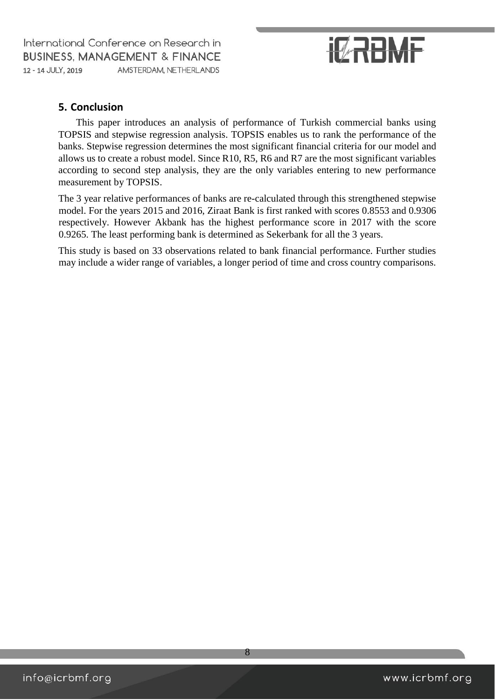# **IZRAME**

### **5. Conclusion**

This paper introduces an analysis of performance of Turkish commercial banks using TOPSIS and stepwise regression analysis. TOPSIS enables us to rank the performance of the banks. Stepwise regression determines the most significant financial criteria for our model and allows us to create a robust model. Since R10, R5, R6 and R7 are the most significant variables according to second step analysis, they are the only variables entering to new performance measurement by TOPSIS.

The 3 year relative performances of banks are re-calculated through this strengthened stepwise model. For the years 2015 and 2016, Ziraat Bank is first ranked with scores 0.8553 and 0.9306 respectively. However Akbank has the highest performance score in 2017 with the score 0.9265. The least performing bank is determined as Sekerbank for all the 3 years.

This study is based on 33 observations related to bank financial performance. Further studies may include a wider range of variables, a longer period of time and cross country comparisons.